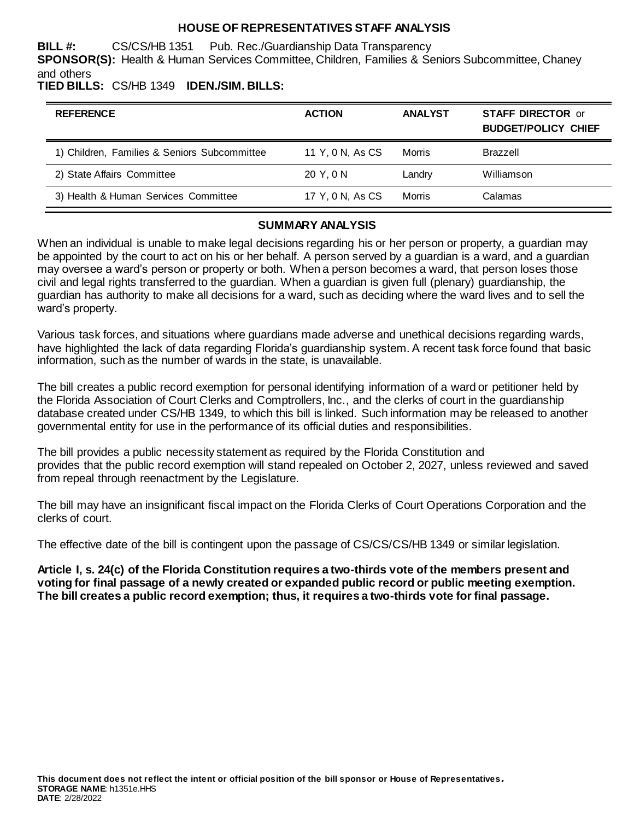### **HOUSE OF REPRESENTATIVES STAFF ANALYSIS**

**BILL #:** CS/CS/HB 1351 Pub. Rec./Guardianship Data Transparency **SPONSOR(S):** Health & Human Services Committee, Children, Families & Seniors Subcommittee, Chaney and others

## **TIED BILLS:** CS/HB 1349 **IDEN./SIM. BILLS:**

| <b>REFERENCE</b>                             | <b>ACTION</b>    | <b>ANALYST</b> | <b>STAFF DIRECTOR or</b><br><b>BUDGET/POLICY CHIEF</b> |
|----------------------------------------------|------------------|----------------|--------------------------------------------------------|
| 1) Children, Families & Seniors Subcommittee | 11 Y, 0 N, As CS | Morris         | <b>Brazzell</b>                                        |
| 2) State Affairs Committee                   | 20 Y.ON          | Landry         | Williamson                                             |
| 3) Health & Human Services Committee         | 17 Y, 0 N, As CS | <b>Morris</b>  | Calamas                                                |

#### **SUMMARY ANALYSIS**

When an individual is unable to make legal decisions regarding his or her person or property, a guardian may be appointed by the court to act on his or her behalf. A person served by a guardian is a ward, and a guardian may oversee a ward's person or property or both. When a person becomes a ward, that person loses those civil and legal rights transferred to the guardian. When a guardian is given full (plenary) guardianship, the guardian has authority to make all decisions for a ward, such as deciding where the ward lives and to sell the ward's property.

Various task forces, and situations where guardians made adverse and unethical decisions regarding wards, have highlighted the lack of data regarding Florida's guardianship system. A recent task force found that basic information, such as the number of wards in the state, is unavailable.

The bill creates a public record exemption for personal identifying information of a ward or petitioner held by the Florida Association of Court Clerks and Comptrollers, Inc., and the clerks of court in the guardianship database created under CS/HB 1349, to which this bill is linked. Such information may be released to another governmental entity for use in the performance of its official duties and responsibilities.

The bill provides a public necessity statement as required by the Florida Constitution and provides that the public record exemption will stand repealed on October 2, 2027, unless reviewed and saved from repeal through reenactment by the Legislature.

The bill may have an insignificant fiscal impact on the Florida Clerks of Court Operations Corporation and the clerks of court.

The effective date of the bill is contingent upon the passage of CS/CS/CS/HB 1349 or similar legislation.

**Article I, s. 24(c) of the Florida Constitution requires a two-thirds vote of the members present and voting for final passage of a newly created or expanded public record or public meeting exemption. The bill creates a public record exemption; thus, it requires a two-thirds vote for final passage.**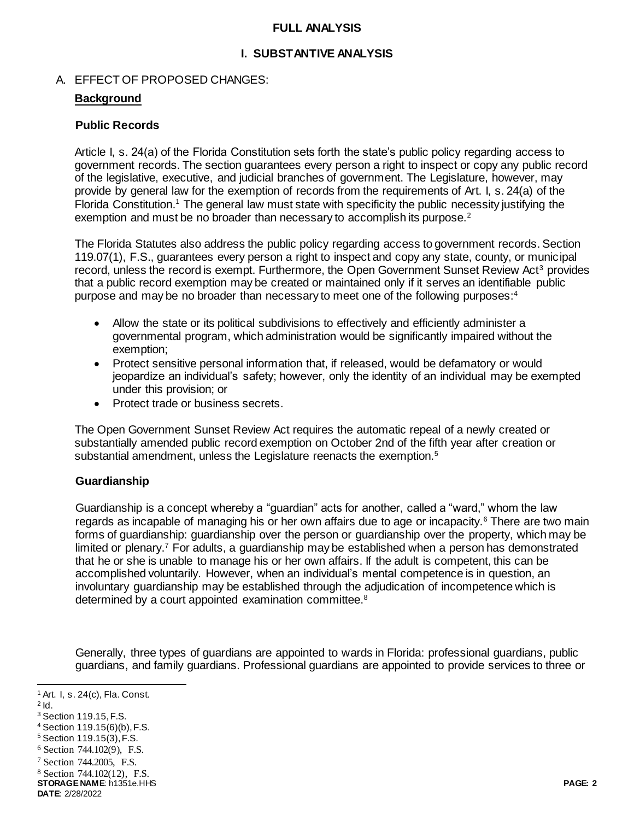### **FULL ANALYSIS**

### **I. SUBSTANTIVE ANALYSIS**

### A. EFFECT OF PROPOSED CHANGES:

### **Background**

### **Public Records**

Article I, s. 24(a) of the Florida Constitution sets forth the state's public policy regarding access to government records. The section guarantees every person a right to inspect or copy any public record of the legislative, executive, and judicial branches of government. The Legislature, however, may provide by general law for the exemption of records from the requirements of Art. I, s. 24(a) of the Florida Constitution.<sup>1</sup> The general law must state with specificity the public necessity justifying the exemption and must be no broader than necessary to accomplish its purpose.<sup>2</sup>

The Florida Statutes also address the public policy regarding access to government records. Section 119.07(1), F.S., guarantees every person a right to inspect and copy any state, county, or municipal record, unless the record is exempt. Furthermore, the Open Government Sunset Review Act<sup>3</sup> provides that a public record exemption may be created or maintained only if it serves an identifiable public purpose and may be no broader than necessary to meet one of the following purposes:<sup>4</sup>

- Allow the state or its political subdivisions to effectively and efficiently administer a governmental program, which administration would be significantly impaired without the exemption;
- Protect sensitive personal information that, if released, would be defamatory or would jeopardize an individual's safety; however, only the identity of an individual may be exempted under this provision; or
- Protect trade or business secrets.

The Open Government Sunset Review Act requires the automatic repeal of a newly created or substantially amended public record exemption on October 2nd of the fifth year after creation or substantial amendment, unless the Legislature reenacts the exemption.<sup>5</sup>

## **Guardianship**

Guardianship is a concept whereby a "guardian" acts for another, called a "ward," whom the law regards as incapable of managing his or her own affairs due to age or incapacity.<sup>6</sup> There are two main forms of guardianship: guardianship over the person or guardianship over the property, which may be limited or plenary.<sup>7</sup> For adults, a guardianship may be established when a person has demonstrated that he or she is unable to manage his or her own affairs. If the adult is competent, this can be accomplished voluntarily. However, when an individual's mental competence is in question, an involuntary guardianship may be established through the adjudication of incompetence which is determined by a court appointed examination committee.<sup>8</sup>

Generally, three types of guardians are appointed to wards in Florida: professional guardians, public guardians, and family guardians. Professional guardians are appointed to provide services to three or

 $2$  Id.

<sup>8</sup> Section 744.102(12), F.S.

**STORAGE NAME**: h1351e.HHS **PAGE: 2 DATE**: 2/28/2022

l <sup>1</sup> Art. I, s. 24(c), Fla. Const.

<sup>3</sup> Section 119.15, F.S.

<sup>4</sup> Section 119.15(6)(b), F.S.

<sup>5</sup> Section 119.15(3), F.S.

<sup>6</sup> Section 744.102(9), F.S.

<sup>7</sup> Section 744.2005, F.S.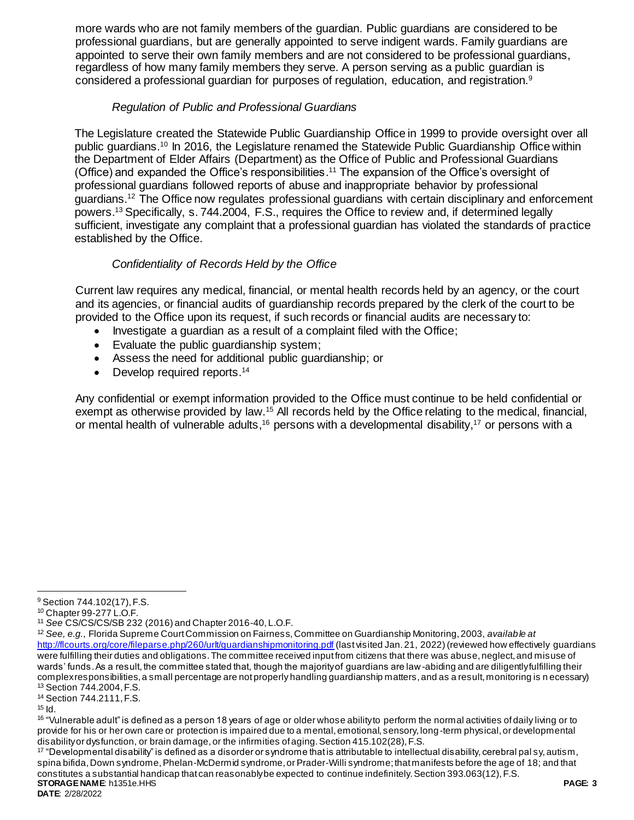more wards who are not family members of the guardian. Public guardians are considered to be professional guardians, but are generally appointed to serve indigent wards. Family guardians are appointed to serve their own family members and are not considered to be professional guardians, regardless of how many family members they serve. A person serving as a public guardian is considered a professional guardian for purposes of regulation, education, and registration.<sup>9</sup>

## *Regulation of Public and Professional Guardians*

The Legislature created the Statewide Public Guardianship Office in 1999 to provide oversight over all public guardians.<sup>10</sup> In 2016, the Legislature renamed the Statewide Public Guardianship Office within the Department of Elder Affairs (Department) as the Office of Public and Professional Guardians (Office) and expanded the Office's responsibilities. <sup>11</sup> The expansion of the Office's oversight of professional guardians followed reports of abuse and inappropriate behavior by professional guardians.<sup>12</sup> The Office now regulates professional guardians with certain disciplinary and enforcement powers. <sup>13</sup> Specifically, s. 744.2004, F.S., requires the Office to review and, if determined legally sufficient, investigate any complaint that a professional guardian has violated the standards of practice established by the Office.

# *Confidentiality of Records Held by the Office*

Current law requires any medical, financial, or mental health records held by an agency, or the court and its agencies, or financial audits of guardianship records prepared by the clerk of the court to be provided to the Office upon its request, if such records or financial audits are necessary to:

- Investigate a guardian as a result of a complaint filed with the Office;
- Evaluate the public quardianship system:
- Assess the need for additional public guardianship; or
- Develop required reports.<sup>14</sup>

Any confidential or exempt information provided to the Office must continue to be held confidential or exempt as otherwise provided by law.<sup>15</sup> All records held by the Office relating to the medical, financial, or mental health of vulnerable adults,<sup>16</sup> persons with a developmental disability,<sup>17</sup> or persons with a

<sup>14</sup> Section 744.2111, F.S.

 $\overline{a}$ 

**STORAGE NAME**: h1351e.HHS **PAGE: 3**  $17$  "Developmental disability" is defined as a disorder or syndrome that is attributable to intellectual disability, cerebral pal sy, autism, spina bifida, Down syndrome, Phelan-McDermid syndrome, or Prader-Willi syndrome; that manifests before the age of 18; and that constitutes a substantial handicap that can reasonably be expected to continue indefinitely. Section 393.063(12), F.S.

<sup>9</sup> Section 744.102(17), F.S.

<sup>10</sup> Chapter 99-277 L.O.F.

<sup>11</sup> *See* CS/CS/CS/SB 232 (2016) and Chapter 2016-40, L.O.F.

<sup>12</sup> *See, e.g.*, Florida Supreme Court Commission on Fairness, Committee on Guardianship Monitoring, 2003, *available at*  <http://flcourts.org/core/fileparse.php/260/urlt/guardianshipmonitoring.pdf> (last visited Jan. 21, 2022) (reviewed how effectively guardians were fulfilling their duties and obligations. The committee received input from citizens that there was abuse, neglect, and misuse of wards' funds. As a result, the committee stated that, though the majority of guardians are law-abiding and are diligently fulfilling their complex responsibilities, a small percentage are not properly handling guardianship matters, and as a result, monitoring is n ecessary) <sup>13</sup> Section 744.2004, F.S.

 $15$   $\text{Id}$ .

<sup>&</sup>lt;sup>16</sup> "Vulnerable adult" is defined as a person 18 years of age or older whose ability to perform the normal activities of daily living or to provide for his or her own care or protection is impaired due to a mental, emotional, sensory, long -term physical, or developmental disability or dysfunction, or brain damage, or the infirmities of aging. Section 415.102(28), F.S.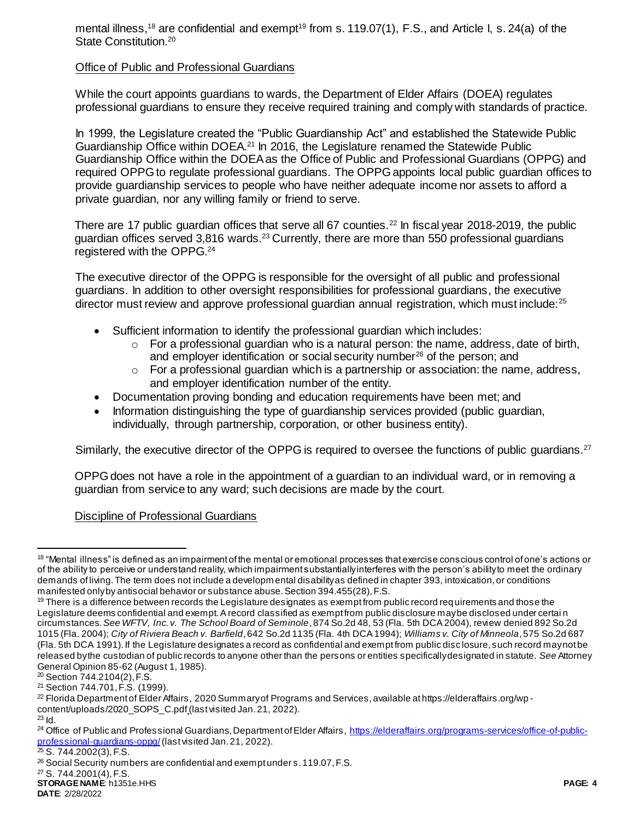mental illness,<sup>18</sup> are confidential and exempt<sup>19</sup> from s. 119.07(1), F.S., and Article I, s. 24(a) of the State Constitution.<sup>20</sup>

## Office of Public and Professional Guardians

While the court appoints guardians to wards, the Department of Elder Affairs (DOEA) regulates professional guardians to ensure they receive required training and comply with standards of practice.

In 1999, the Legislature created the "Public Guardianship Act" and established the Statewide Public Guardianship Office within DOEA.<sup>21</sup> In 2016, the Legislature renamed the Statewide Public Guardianship Office within the DOEA as the Office of Public and Professional Guardians (OPPG) and required OPPG to regulate professional guardians. The OPPG appoints local public guardian offices to provide guardianship services to people who have neither adequate income nor assets to afford a private guardian, nor any willing family or friend to serve.

There are 17 public guardian offices that serve all 67 counties.<sup>22</sup> In fiscal year 2018-2019, the public guardian offices served  $3.816$  wards.<sup>23</sup> Currently, there are more than 550 professional guardians registered with the OPPG. 24

The executive director of the OPPG is responsible for the oversight of all public and professional guardians. In addition to other oversight responsibilities for professional guardians, the executive director must review and approve professional quardian annual registration, which must include:<sup>25</sup>

- Sufficient information to identify the professional guardian which includes:
	- $\circ$  For a professional guardian who is a natural person: the name, address, date of birth, and employer identification or social security number<sup>26</sup> of the person; and
	- o For a professional guardian which is a partnership or association: the name, address, and employer identification number of the entity.
- Documentation proving bonding and education requirements have been met; and
- Information distinguishing the type of guardianship services provided (public guardian, individually, through partnership, corporation, or other business entity).

Similarly, the executive director of the OPPG is required to oversee the functions of public guardians.<sup>27</sup>

OPPG does not have a role in the appointment of a guardian to an individual ward, or in removing a guardian from service to any ward; such decisions are made by the court.

## Discipline of Professional Guardians

<sup>27</sup> S. 744.2001(4), F.S.

 $\overline{a}$ <sup>18</sup> "Mental illness" is defined as an impairment of the mental or emotional processes that exercise conscious control of one's actions or of the ability to perceive or understand reality, which impairment substantially interferes with the person's ability to meet the ordinary demands of living. The term does not include a developm ental disability as defined in chapter 393, intoxication, or conditions manifested only by antisocial behavior or substance abuse. Section 394.455(28), F.S.

 $19$  There is a difference between records the Legislature designates as exempt from public record requirements and those the Legislature deems confidential and exempt. A record classified as exempt from public disclosure may be disclosed under certai n circumstances. *See WFTV, Inc. v. The School Board of Seminole*, 874 So.2d 48, 53 (Fla. 5th DCA 2004), review denied 892 So.2d 1015 (Fla. 2004); *City of Riviera Beach v. Barfield*, 642 So.2d 1135 (Fla. 4th DCA 1994); *Williams v. City of Minneola*, 575 So.2d 687 (Fla. 5th DCA 1991). If the Legislature designates a record as confidential and exempt from public disc losure, such record may not be released by the custodian of public records to anyone other than the persons or entities specifically designated in statute. *See* Attorney General Opinion 85-62 (August 1, 1985).

<sup>20</sup> Section 744.2104(2), F.S.

<sup>21</sup> Section 744.701, F.S. (1999).

<sup>&</sup>lt;sup>22</sup> Florida Department of Elder Affairs, 2020 Summary of Programs and Services, available at https://elderaffairs.org/wp content/uploads/2020\_SOPS\_C.pdf (last visited Jan. 21, 2022). <sup>23</sup> Id.

<sup>&</sup>lt;sup>24</sup> Office of Public and Professional Guardians, Department of Elder Affairs, [https://elderaffairs.org/programs-services/office-of-public](https://elderaffairs.org/programs-services/office-of-public-professional-guardians-oppg/)[professional-guardians-oppg/](https://elderaffairs.org/programs-services/office-of-public-professional-guardians-oppg/)(last visited Jan. 21, 2022).

 $25$  S. 744.2002(3), F.S.

<sup>&</sup>lt;sup>26</sup> Social Security numbers are confidential and exempt under s. 119.07, F.S.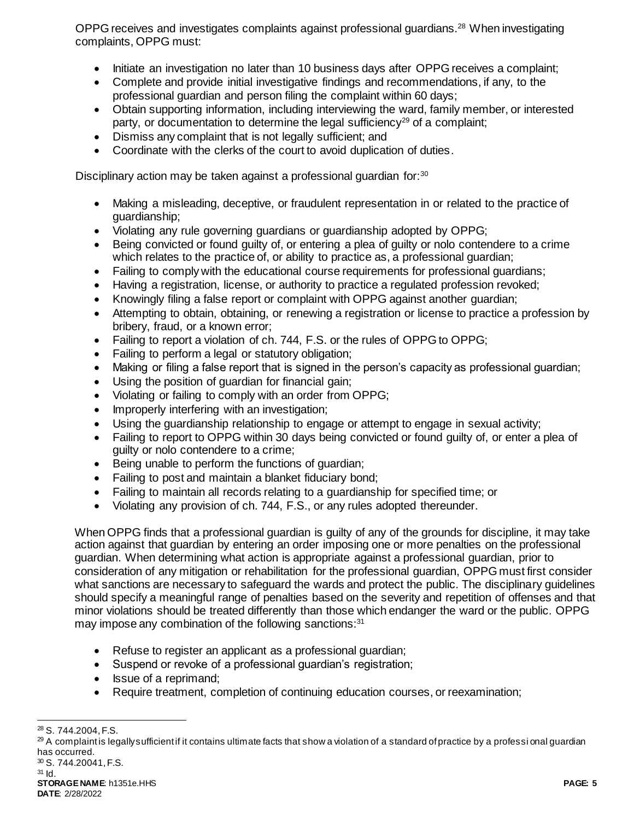OPPG receives and investigates complaints against professional guardians.<sup>28</sup> When investigating complaints, OPPG must:

- Initiate an investigation no later than 10 business days after OPPG receives a complaint;
- Complete and provide initial investigative findings and recommendations, if any, to the professional guardian and person filing the complaint within 60 days;
- Obtain supporting information, including interviewing the ward, family member, or interested party, or documentation to determine the legal sufficiency<sup>29</sup> of a complaint;
- Dismiss any complaint that is not legally sufficient; and
- Coordinate with the clerks of the court to avoid duplication of duties.

Disciplinary action may be taken against a professional guardian for:<sup>30</sup>

- Making a misleading, deceptive, or fraudulent representation in or related to the practice of guardianship;
- Violating any rule governing guardians or guardianship adopted by OPPG;
- Being convicted or found guilty of, or entering a plea of guilty or nolo contendere to a crime which relates to the practice of, or ability to practice as, a professional guardian;
- Failing to comply with the educational course requirements for professional quardians;
- Having a registration, license, or authority to practice a regulated profession revoked;
- Knowingly filing a false report or complaint with OPPG against another guardian;
- Attempting to obtain, obtaining, or renewing a registration or license to practice a profession by bribery, fraud, or a known error;
- Failing to report a violation of ch. 744, F.S. or the rules of OPPG to OPPG;
- Failing to perform a legal or statutory obligation;
- Making or filing a false report that is signed in the person's capacity as professional guardian;
- Using the position of guardian for financial gain;
- Violating or failing to comply with an order from OPPG;
- Improperly interfering with an investigation;
- Using the guardianship relationship to engage or attempt to engage in sexual activity;
- Failing to report to OPPG within 30 days being convicted or found guilty of, or enter a plea of guilty or nolo contendere to a crime;
- Being unable to perform the functions of guardian;
- Failing to post and maintain a blanket fiduciary bond;
- Failing to maintain all records relating to a guardianship for specified time; or
- Violating any provision of ch. 744, F.S., or any rules adopted thereunder.

When OPPG finds that a professional guardian is guilty of any of the grounds for discipline, it may take action against that guardian by entering an order imposing one or more penalties on the professional guardian. When determining what action is appropriate against a professional guardian, prior to consideration of any mitigation or rehabilitation for the professional guardian, OPPG must first consider what sanctions are necessary to safeguard the wards and protect the public. The disciplinary guidelines should specify a meaningful range of penalties based on the severity and repetition of offenses and that minor violations should be treated differently than those which endanger the ward or the public. OPPG may impose any combination of the following sanctions:<sup>31</sup>

- Refuse to register an applicant as a professional guardian;
- Suspend or revoke of a professional guardian's registration;
- Issue of a reprimand;
- Require treatment, completion of continuing education courses, or reexamination;

l <sup>28</sup> S. 744.2004, F.S.

 $29$  A complaint is legally sufficient if it contains ultimate facts that show a violation of a standard of practice by a professi onal guardian has occurred.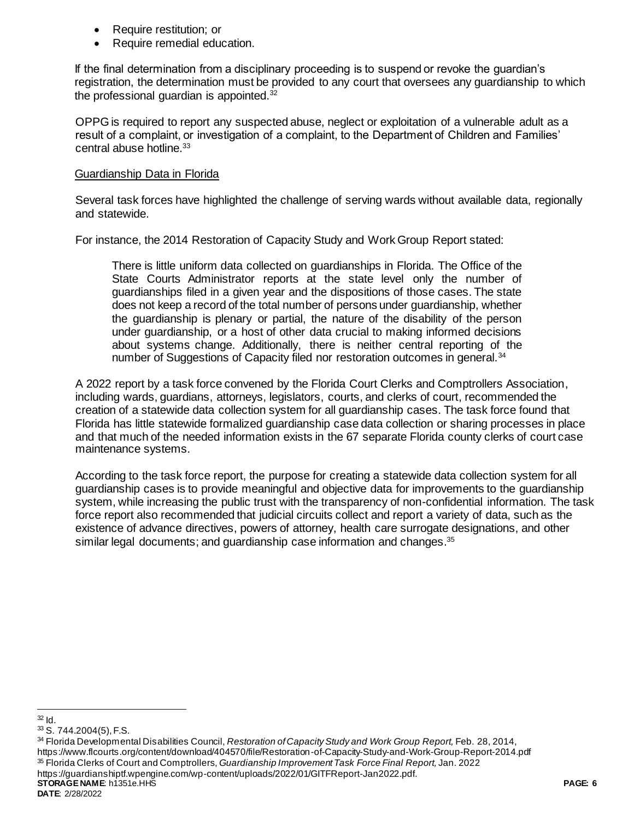- Require restitution; or
- Require remedial education.

If the final determination from a disciplinary proceeding is to suspend or revoke the guardian's registration, the determination must be provided to any court that oversees any guardianship to which the professional guardian is appointed. $32$ 

OPPG is required to report any suspected abuse, neglect or exploitation of a vulnerable adult as a result of a complaint, or investigation of a complaint, to the Department of Children and Families' central abuse hotline.<sup>33</sup>

### Guardianship Data in Florida

Several task forces have highlighted the challenge of serving wards without available data, regionally and statewide.

For instance, the 2014 Restoration of Capacity Study and Work Group Report stated:

There is little uniform data collected on guardianships in Florida. The Office of the State Courts Administrator reports at the state level only the number of guardianships filed in a given year and the dispositions of those cases. The state does not keep a record of the total number of persons under guardianship, whether the guardianship is plenary or partial, the nature of the disability of the person under guardianship, or a host of other data crucial to making informed decisions about systems change. Additionally, there is neither central reporting of the number of Suggestions of Capacity filed nor restoration outcomes in general.<sup>34</sup>

A 2022 report by a task force convened by the Florida Court Clerks and Comptrollers Association, including wards, guardians, attorneys, legislators, courts, and clerks of court, recommended the creation of a statewide data collection system for all guardianship cases. The task force found that Florida has little statewide formalized guardianship case data collection or sharing processes in place and that much of the needed information exists in the 67 separate Florida county clerks of court case maintenance systems.

According to the task force report, the purpose for creating a statewide data collection system for all guardianship cases is to provide meaningful and objective data for improvements to the guardianship system, while increasing the public trust with the transparency of non-confidential information. The task force report also recommended that judicial circuits collect and report a variety of data, such as the existence of advance directives, powers of attorney, health care surrogate designations, and other similar legal documents; and guardianship case information and changes.<sup>35</sup>

**STORAGE NAME**: h1351e.HHS **PAGE: 6** <sup>34</sup> Florida Developmental Disabilities Council, *Restoration of Capacity Study and Work Group Report,* Feb. 28, 2014, https://www.flcourts.org/content/download/404570/file/Restoration-of-Capacity-Study-and-Work-Group-Report-2014.pdf <sup>35</sup> Florida Clerks of Court and Comptrollers, *Guardianship Improvement Task Force Final Report,* Jan. 2022 https://guardianshiptf.wpengine.com/wp-content/uploads/2022/01/GITFReport-Jan2022.pdf.

l  $32$  Id.

<sup>33</sup> S. 744.2004(5), F.S.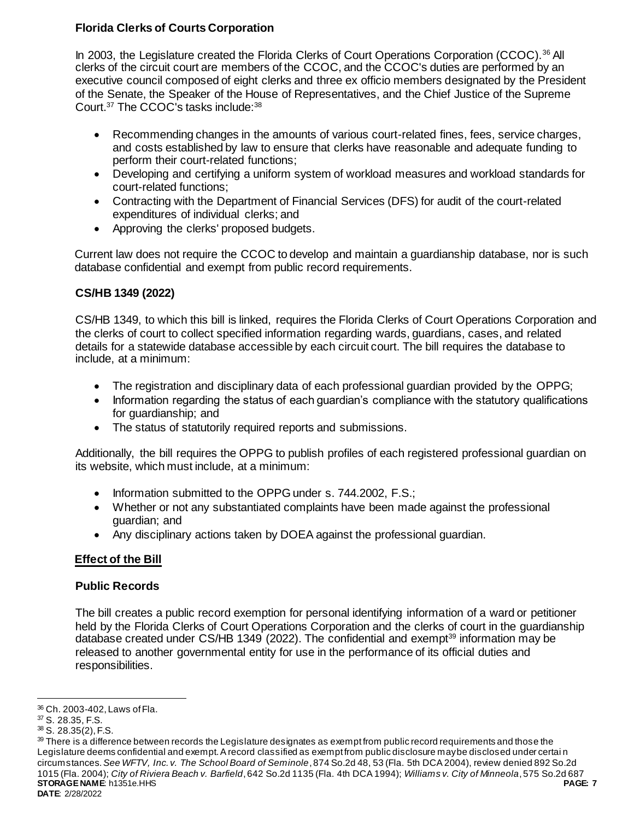# **Florida Clerks of Courts Corporation**

In 2003, the Legislature created the Florida Clerks of Court Operations Corporation (CCOC).<sup>36</sup> All clerks of the circuit court are members of the CCOC, and the CCOC's duties are performed by an executive council composed of eight clerks and three ex officio members designated by the President of the Senate, the Speaker of the House of Representatives, and the Chief Justice of the Supreme Court.<sup>37</sup> The CCOC's tasks include:<sup>38</sup>

- Recommending changes in the amounts of various court-related fines, fees, service charges, and costs established by law to ensure that clerks have reasonable and adequate funding to perform their court-related functions;
- Developing and certifying a uniform system of workload measures and workload standards for court-related functions;
- Contracting with the Department of Financial Services (DFS) for audit of the court-related expenditures of individual clerks; and
- Approving the clerks' proposed budgets.

Current law does not require the CCOC to develop and maintain a guardianship database, nor is such database confidential and exempt from public record requirements.

# **CS/HB 1349 (2022)**

CS/HB 1349, to which this bill is linked, requires the Florida Clerks of Court Operations Corporation and the clerks of court to collect specified information regarding wards, guardians, cases, and related details for a statewide database accessible by each circuit court. The bill requires the database to include, at a minimum:

- The registration and disciplinary data of each professional guardian provided by the OPPG;
- Information regarding the status of each guardian's compliance with the statutory qualifications for guardianship; and
- The status of statutorily required reports and submissions.

Additionally, the bill requires the OPPG to publish profiles of each registered professional guardian on its website, which must include, at a minimum:

- Information submitted to the OPPG under s. 744.2002, F.S.;
- Whether or not any substantiated complaints have been made against the professional guardian; and
- Any disciplinary actions taken by DOEA against the professional guardian.

# **Effect of the Bill**

# **Public Records**

The bill creates a public record exemption for personal identifying information of a ward or petitioner held by the Florida Clerks of Court Operations Corporation and the clerks of court in the guardianship database created under CS/HB 1349 (2022). The confidential and exempt<sup>39</sup> information may be released to another governmental entity for use in the performance of its official duties and responsibilities.

l <sup>36</sup> Ch. 2003-402, Laws of Fla.

<sup>37</sup> S. 28.35, F.S.

<sup>38</sup> S. 28.35(2), F.S.

**STORAGE NAME**: h1351e.HHS **PAGE: 7 DATE**: 2/28/2022 39 There is a difference between records the Legislature designates as exempt from public record requirements and those the Legislature deems confidential and exempt. A record classified as exempt from public disclosure may be disclosed under certai n circumstances. *See WFTV, Inc. v. The School Board of Seminole*, 874 So.2d 48, 53 (Fla. 5th DCA 2004), review denied 892 So.2d 1015 (Fla. 2004); *City of Riviera Beach v. Barfield*, 642 So.2d 1135 (Fla. 4th DCA 1994); *Williams v. City of Minneola*, 575 So.2d 687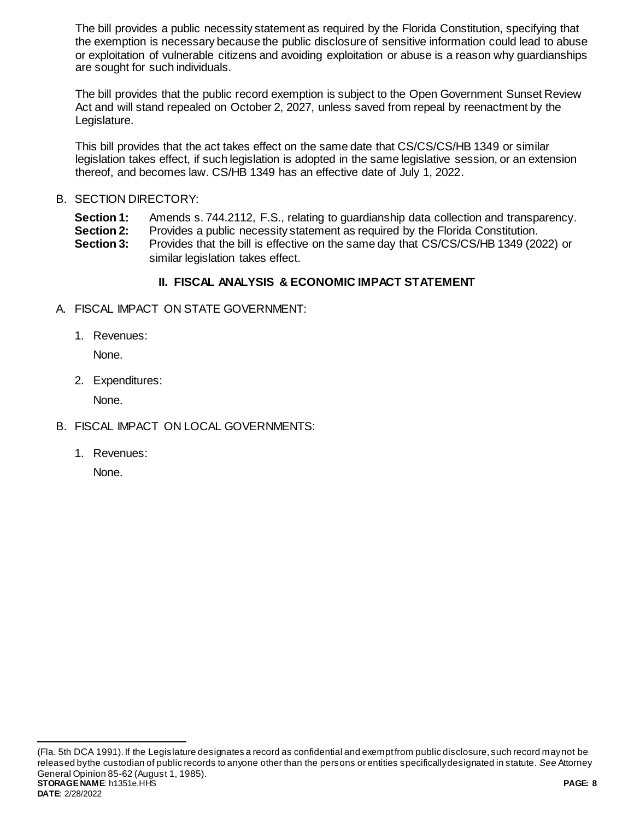The bill provides a public necessity statement as required by the Florida Constitution, specifying that the exemption is necessary because the public disclosure of sensitive information could lead to abuse or exploitation of vulnerable citizens and avoiding exploitation or abuse is a reason why guardianships are sought for such individuals.

The bill provides that the public record exemption is subject to the Open Government Sunset Review Act and will stand repealed on October 2, 2027, unless saved from repeal by reenactment by the Legislature.

This bill provides that the act takes effect on the same date that CS/CS/CS/HB 1349 or similar legislation takes effect, if such legislation is adopted in the same legislative session, or an extension thereof, and becomes law. CS/HB 1349 has an effective date of July 1, 2022.

# B. SECTION DIRECTORY:

**Section 1:** Amends s. 744.2112, F.S., relating to guardianship data collection and transparency.

**Section 2:** Provides a public necessity statement as required by the Florida Constitution.

**Section 3:** Provides that the bill is effective on the same day that CS/CS/CS/HB 1349 (2022) or similar legislation takes effect.

# **II. FISCAL ANALYSIS & ECONOMIC IMPACT STATEMENT**

- A. FISCAL IMPACT ON STATE GOVERNMENT:
	- 1. Revenues:

None.

2. Expenditures:

None.

- B. FISCAL IMPACT ON LOCAL GOVERNMENTS:
	- 1. Revenues:

None.

 $\overline{a}$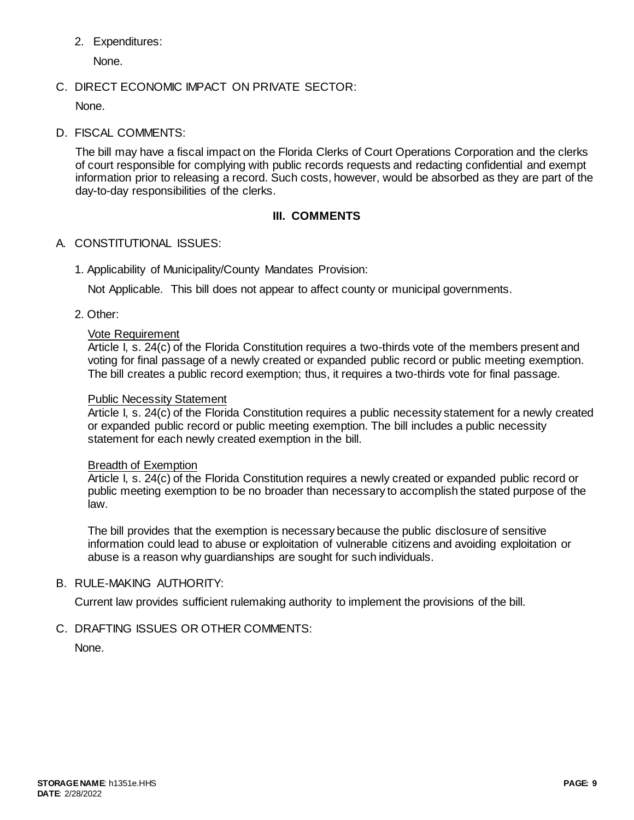2. Expenditures:

None.

# C. DIRECT ECONOMIC IMPACT ON PRIVATE SECTOR:

None.

D. FISCAL COMMENTS:

The bill may have a fiscal impact on the Florida Clerks of Court Operations Corporation and the clerks of court responsible for complying with public records requests and redacting confidential and exempt information prior to releasing a record. Such costs, however, would be absorbed as they are part of the day-to-day responsibilities of the clerks.

# **III. COMMENTS**

# A. CONSTITUTIONAL ISSUES:

1. Applicability of Municipality/County Mandates Provision:

Not Applicable. This bill does not appear to affect county or municipal governments.

2. Other:

## Vote Requirement

Article I, s. 24(c) of the Florida Constitution requires a two-thirds vote of the members present and voting for final passage of a newly created or expanded public record or public meeting exemption. The bill creates a public record exemption; thus, it requires a two-thirds vote for final passage.

### Public Necessity Statement

Article I, s. 24(c) of the Florida Constitution requires a public necessity statement for a newly created or expanded public record or public meeting exemption. The bill includes a public necessity statement for each newly created exemption in the bill.

#### Breadth of Exemption

Article I, s. 24(c) of the Florida Constitution requires a newly created or expanded public record or public meeting exemption to be no broader than necessary to accomplish the stated purpose of the law.

The bill provides that the exemption is necessary because the public disclosure of sensitive information could lead to abuse or exploitation of vulnerable citizens and avoiding exploitation or abuse is a reason why guardianships are sought for such individuals.

## B. RULE-MAKING AUTHORITY:

Current law provides sufficient rulemaking authority to implement the provisions of the bill.

C. DRAFTING ISSUES OR OTHER COMMENTS:

None.